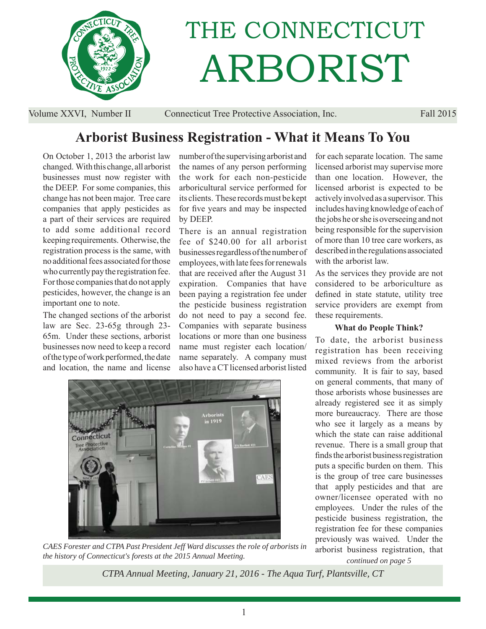

# THE CONNECTICUT ARBORIST

Volume XXVI, Number II Connecticut Tree Protective Association, Inc. Fall 2015

# **Arborist Business Registration - What it Means To You**

On October 1, 2013 the arborist law changed. With this change, all arborist businesses must now register with the DEEP. For some companies, this change has not been major. Tree care companies that apply pesticides as a part of their services are required to add some additional record keeping requirements. Otherwise, the registration process is the same, with no additional fees associated for those who currently pay the registration fee. For those companies that do not apply pesticides, however, the change is an important one to note.

The changed sections of the arborist law are Sec. 23-65g through 23- 65m. Under these sections, arborist businesses now need to keep a record of the type of work performed, the date and location, the name and license

number of the supervising arborist and the names of any person performing the work for each non-pesticide arboricultural service performed for its clients. These records must be kept for five years and may be inspected by DEEP.

There is an annual registration fee of \$240.00 for all arborist businesses regardless of the number of employees, with late fees for renewals that are received after the August 31 expiration. Companies that have been paying a registration fee under the pesticide business registration do not need to pay a second fee. Companies with separate business locations or more than one business name must register each location/ name separately. A company must also have a CT licensed arborist listed



*CAES Forester and CTPA Past President Jeff Ward discusses the role of arborists in the history of Connecticut's forests at the 2015 Annual Meeting.* 

for each separate location. The same licensed arborist may supervise more than one location. However, the licensed arborist is expected to be actively involved as a supervisor. This includes having knowledge of each of the jobs he or she is overseeing and not being responsible for the supervision of more than 10 tree care workers, as described in the regulations associated with the arborist law.

As the services they provide are not considered to be arboriculture as defined in state statute, utility tree service providers are exempt from these requirements.

# **What do People Think?**

To date, the arborist business registration has been receiving mixed reviews from the arborist community. It is fair to say, based on general comments, that many of those arborists whose businesses are already registered see it as simply more bureaucracy. There are those who see it largely as a means by which the state can raise additional revenue. There is a small group that finds the arborist business registration puts a specific burden on them. This is the group of tree care businesses that apply pesticides and that are owner/licensee operated with no employees. Under the rules of the pesticide business registration, the registration fee for these companies previously was waived. Under the arborist business registration, that

*continued on page 5*

*CTPA Annual Meeting, January 21, 2016 - The Aqua Turf, Plantsville, CT*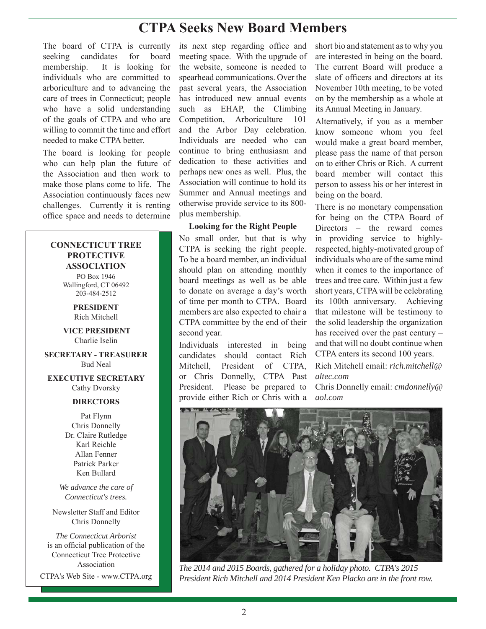# **CTPA Seeks New Board Members**

The board of CTPA is currently seeking candidates for board membership. It is looking for individuals who are committed to arboriculture and to advancing the care of trees in Connecticut; people who have a solid understanding of the goals of CTPA and who are willing to commit the time and effort needed to make CTPA better.

The board is looking for people who can help plan the future of the Association and then work to make those plans come to life. The Association continuously faces new challenges. Currently it is renting office space and needs to determine

## **CONNECTICUT TREE PROTECTIVE ASSOCIATION**

PO Box 1946 Wallingford, CT 06492 203-484-2512

> **PRESIDENT** Rich Mitchell

 **VICE PRESIDENT** Charlie Iselin

**SECRETARY - TREASURER** Bud Neal

**EXECUTIVE SECRETARY** Cathy Dvorsky

## **DIRECTORS**

Pat Flynn Chris Donnelly Dr. Claire Rutledge Karl Reichle Allan Fenner Patrick Parker Ken Bullard

*We advance the care of Connecticut's trees.*

Newsletter Staff and Editor Chris Donnelly

*The Connecticut Arborist* is an official publication of the Connecticut Tree Protective Association

CTPA's Web Site - www.CTPA.org

its next step regarding office and meeting space. With the upgrade of the website, someone is needed to spearhead communications. Over the past several years, the Association has introduced new annual events such as EHAP, the Climbing Competition, Arboriculture 101 and the Arbor Day celebration. Individuals are needed who can continue to bring enthusiasm and dedication to these activities and perhaps new ones as well. Plus, the Association will continue to hold its Summer and Annual meetings and otherwise provide service to its 800 plus membership.

## **Looking for the Right People**

No small order, but that is why CTPA is seeking the right people. To be a board member, an individual should plan on attending monthly board meetings as well as be able to donate on average a day's worth of time per month to CTPA. Board members are also expected to chair a CTPA committee by the end of their second year.

Individuals interested in being candidates should contact Rich Mitchell, President of CTPA, or Chris Donnelly, CTPA Past President. Please be prepared to provide either Rich or Chris with a

short bio and statement as to why you are interested in being on the board. The current Board will produce a slate of officers and directors at its November 10th meeting, to be voted on by the membership as a whole at its Annual Meeting in January.

Alternatively, if you as a member know someone whom you feel would make a great board member, please pass the name of that person on to either Chris or Rich. A current board member will contact this person to assess his or her interest in being on the board.

There is no monetary compensation for being on the CTPA Board of Directors – the reward comes in providing service to highlyrespected, highly-motivated group of individuals who are of the same mind when it comes to the importance of trees and tree care. Within just a few short years, CTPA will be celebrating its 100th anniversary. Achieving that milestone will be testimony to the solid leadership the organization has received over the past century – and that will no doubt continue when CTPA enters its second 100 years.

Rich Mitchell email: *rich.mitchell@ altec.com*

Chris Donnelly email: *cmdonnelly@ aol.com*



*The 2014 and 2015 Boards, gathered for a holiday photo. CTPA's 2015 President Rich Mitchell and 2014 President Ken Placko are in the front row.*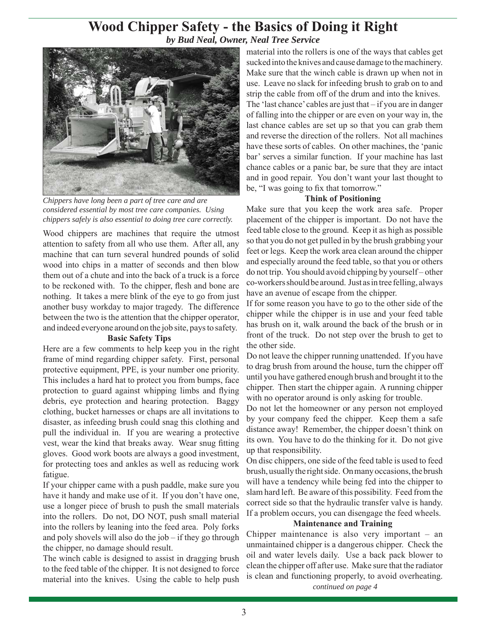# **Wood Chipper Safety - the Basics of Doing it Right** *by Bud Neal, Owner, Neal Tree Service*



*Chippers have long been a part of tree care and are considered essential by most tree care companies. Using chippers safely is also essential to doing tree care correctly.*

Wood chippers are machines that require the utmost attention to safety from all who use them. After all, any machine that can turn several hundred pounds of solid wood into chips in a matter of seconds and then blow them out of a chute and into the back of a truck is a force to be reckoned with. To the chipper, flesh and bone are nothing. It takes a mere blink of the eye to go from just another busy workday to major tragedy. The difference between the two is the attention that the chipper operator, and indeed everyone around on the job site, pays to safety.

#### **Basic Safety Tips**

Here are a few comments to help keep you in the right frame of mind regarding chipper safety. First, personal protective equipment, PPE, is your number one priority. This includes a hard hat to protect you from bumps, face protection to guard against whipping limbs and flying debris, eye protection and hearing protection. Baggy clothing, bucket harnesses or chaps are all invitations to disaster, as in feeding brush could snag this clothing and pull the individual in. If you are wearing a protective vest, wear the kind that breaks away. Wear snug fitting gloves. Good work boots are always a good investment, for protecting toes and ankles as well as reducing work fatigue.

If your chipper came with a push paddle, make sure you have it handy and make use of it. If you don't have one, use a longer piece of brush to push the small materials into the rollers. Do not, DO NOT, push small material into the rollers by leaning into the feed area. Poly forks and poly shovels will also do the job – if they go through the chipper, no damage should result.

The winch cable is designed to assist in dragging brush to the feed table of the chipper. It is not designed to force

material into the rollers is one of the ways that cables get sucked into the knives and cause damage to the machinery. Make sure that the winch cable is drawn up when not in use. Leave no slack for infeeding brush to grab on to and strip the cable from off of the drum and into the knives. The 'last chance' cables are just that – if you are in danger of falling into the chipper or are even on your way in, the last chance cables are set up so that you can grab them and reverse the direction of the rollers. Not all machines have these sorts of cables. On other machines, the 'panic bar' serves a similar function. If your machine has last chance cables or a panic bar, be sure that they are intact and in good repair. You don't want your last thought to be, "I was going to fix that tomorrow."

## **Think of Positioning**

Make sure that you keep the work area safe. Proper placement of the chipper is important. Do not have the feed table close to the ground. Keep it as high as possible so that you do not get pulled in by the brush grabbing your feet or legs. Keep the work area clean around the chipper and especially around the feed table, so that you or others do not trip. You should avoid chipping by yourself – other co-workers should be around. Just as in tree felling, always have an avenue of escape from the chipper.

If for some reason you have to go to the other side of the chipper while the chipper is in use and your feed table has brush on it, walk around the back of the brush or in front of the truck. Do not step over the brush to get to the other side.

Do not leave the chipper running unattended. If you have to drag brush from around the house, turn the chipper off until you have gathered enough brush and brought it to the chipper. Then start the chipper again. A running chipper with no operator around is only asking for trouble.

Do not let the homeowner or any person not employed by your company feed the chipper. Keep them a safe distance away! Remember, the chipper doesn't think on its own. You have to do the thinking for it. Do not give up that responsibility.

On disc chippers, one side of the feed table is used to feed brush, usually the right side. On many occasions, the brush will have a tendency while being fed into the chipper to slam hard left. Be aware of this possibility. Feed from the correct side so that the hydraulic transfer valve is handy. If a problem occurs, you can disengage the feed wheels.

## **Maintenance and Training**

material into the knives. Using the cable to help push <sup>18</sup> clean and functioning properly, to<br>*continued on page 4* Chipper maintenance is also very important – an unmaintained chipper is a dangerous chipper. Check the oil and water levels daily. Use a back pack blower to clean the chipper off after use. Make sure that the radiator is clean and functioning properly, to avoid overheating.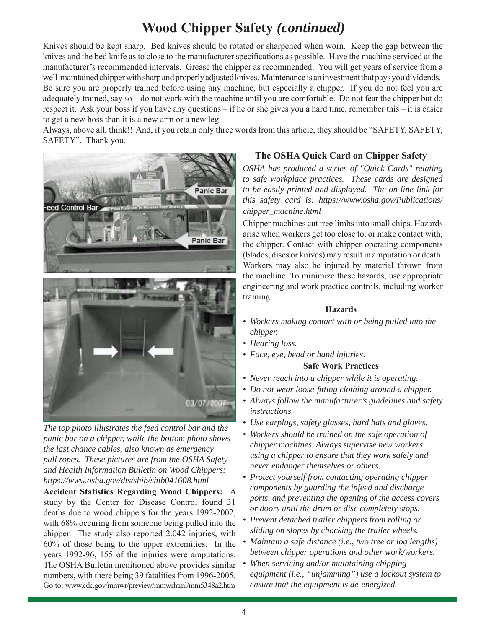# **Wood Chipper Safety** *(continued)*

Knives should be kept sharp. Bed knives should be rotated or sharpened when worn. Keep the gap between the knives and the bed knife as to close to the manufacturer specifications as possible. Have the machine serviced at the manufacturer's recommended intervals. Grease the chipper as recommended. You will get years of service from a well-maintained chipper with sharp and properly adjusted knives. Maintenance is an investment that pays you dividends. Be sure you are properly trained before using any machine, but especially a chipper. If you do not feel you are adequately trained, say so – do not work with the machine until you are comfortable. Do not fear the chipper but do respect it. Ask your boss if you have any questions – if he or she gives you a hard time, remember this – it is easier to get a new boss than it is a new arm or a new leg.

Always, above all, think!! And, if you retain only three words from this article, they should be "SAFETY, SAFETY, SAFETY". Thank you.



*The top photo illustrates the feed control bar and the panic bar on a chipper, while the bottom photo shows the last chance cables, also known as emergency pull ropes. These pictures are from the OSHA Safety and Health Information Bulletin on Wood Chippers: https://www.osha.gov/dts/shib/shib041608.html*

**Accident Statistics Regarding Wood Chippers:** A study by the Center for Disease Control found 31 deaths due to wood chippers for the years 1992-2002, with 68% occuring from someone being pulled into the chipper. The study also reported 2.042 injuries, with 60% of those being to the upper extremities. In the years 1992-96, 155 of the injuries were amputations. The OSHA Bulletin menitioned above provides similar numbers, with there being 39 fatalities from 1996-2005. Go to: www.cdc.gov/mmwr/preview/mmwrhtml/mm5348a2.htm

# **The OSHA Quick Card on Chipper Safety**

*OSHA has produced a series of "Quick Cards" relating to safe workplace practices. These cards are designed to be easily printed and displayed. The on-line link for this safety card is: https://www.osha.gov/Publications/ chipper\_machine.html*

Chipper machines cut tree limbs into small chips. Hazards arise when workers get too close to, or make contact with, the chipper. Contact with chipper operating components (blades, discs or knives) may result in amputation or death. Workers may also be injured by material thrown from the machine. To minimize these hazards, use appropriate engineering and work practice controls, including worker training.

## **Hazards**

- *Workers making contact with or being pulled into the chipper.*
- *Hearing loss.*
- *Face, eye, head or hand injuries.*

# **Safe Work Practices**

- *Never reach into a chipper while it is operating.*
- *Do not wear loose-fi tting clothing around a chipper.*
- *Always follow the manufacturer's guidelines and safety instructions.*
- *Use earplugs, safety glasses, hard hats and gloves.*
- *Workers should be trained on the safe operation of chipper machines. Always supervise new workers using a chipper to ensure that they work safely and never endanger themselves or others.*
- *Protect yourself from contacting operating chipper components by guarding the infeed and discharge ports, and preventing the opening of the access covers or doors until the drum or disc completely stops.*
- *Prevent detached trailer chippers from rolling or sliding on slopes by chocking the trailer wheels.*
- *Maintain a safe distance (i.e., two tree or log lengths) between chipper operations and other work/workers.*
- *When servicing and/or maintaining chipping equipment (i.e., "unjamming") use a lockout system to ensure that the equipment is de-energized.*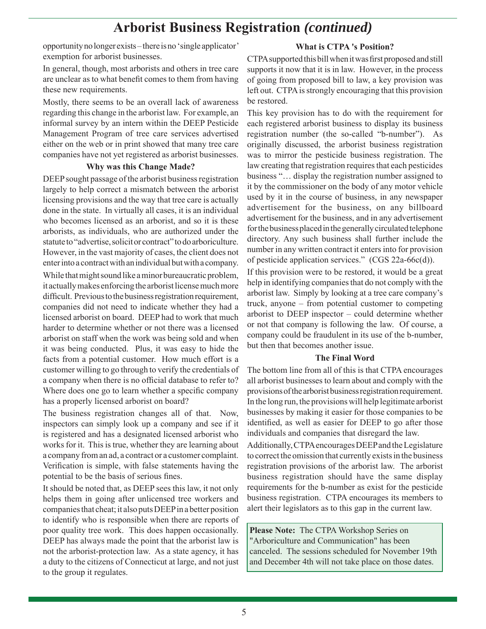# **Arborist Business Registration** *(continued)*

opportunity no longer exists – there is no 'single applicator' exemption for arborist businesses.

# **What is CTPA 's Position?**

In general, though, most arborists and others in tree care are unclear as to what benefit comes to them from having these new requirements.

Mostly, there seems to be an overall lack of awareness regarding this change in the arborist law. For example, an informal survey by an intern within the DEEP Pesticide Management Program of tree care services advertised either on the web or in print showed that many tree care companies have not yet registered as arborist businesses.

#### **Why was this Change Made?**

DEEP sought passage of the arborist business registration largely to help correct a mismatch between the arborist licensing provisions and the way that tree care is actually done in the state. In virtually all cases, it is an individual who becomes licensed as an arborist, and so it is these arborists, as individuals, who are authorized under the statute to "advertise, solicit or contract" to do arboriculture. However, in the vast majority of cases, the client does not enter into a contract with an individual but with a company. While that might sound like a minor bureaucratic problem, it actually makes enforcing the arborist license much more difficult. Previous to the business registration requirement, companies did not need to indicate whether they had a licensed arborist on board. DEEP had to work that much harder to determine whether or not there was a licensed arborist on staff when the work was being sold and when it was being conducted. Plus, it was easy to hide the facts from a potential customer. How much effort is a customer willing to go through to verify the credentials of a company when there is no official database to refer to?

Where does one go to learn whether a specific company has a properly licensed arborist on board? The business registration changes all of that. Now, inspectors can simply look up a company and see if it is registered and has a designated licensed arborist who

works for it. This is true, whether they are learning about a company from an ad, a contract or a customer complaint. Verification is simple, with false statements having the potential to be the basis of serious fines.

It should be noted that, as DEEP sees this law, it not only helps them in going after unlicensed tree workers and companies that cheat; it also puts DEEP in a better position to identify who is responsible when there are reports of poor quality tree work. This does happen occasionally. DEEP has always made the point that the arborist law is not the arborist-protection law. As a state agency, it has a duty to the citizens of Connecticut at large, and not just to the group it regulates.

CTPA supported this bill when it was first proposed and still supports it now that it is in law. However, in the process of going from proposed bill to law, a key provision was left out. CTPA is strongly encouraging that this provision be restored.

This key provision has to do with the requirement for each registered arborist business to display its business registration number (the so-called "b-number"). As originally discussed, the arborist business registration was to mirror the pesticide business registration. The law creating that registration requires that each pesticides business "… display the registration number assigned to it by the commissioner on the body of any motor vehicle used by it in the course of business, in any newspaper advertisement for the business, on any billboard advertisement for the business, and in any advertisement for the business placed in the generally circulated telephone directory. Any such business shall further include the number in any written contract it enters into for provision of pesticide application services." (CGS 22a-66c(d)).

If this provision were to be restored, it would be a great help in identifying companies that do not comply with the arborist law. Simply by looking at a tree care company's truck, anyone – from potential customer to competing arborist to DEEP inspector – could determine whether or not that company is following the law. Of course, a company could be fraudulent in its use of the b-number, but then that becomes another issue.

## **The Final Word**

The bottom line from all of this is that CTPA encourages all arborist businesses to learn about and comply with the provisions of the arborist business registration requirement. In the long run, the provisions will help legitimate arborist businesses by making it easier for those companies to be identified, as well as easier for DEEP to go after those individuals and companies that disregard the law.

Additionally, CTPA encourages DEEP and the Legislature to correct the omission that currently exists in the business registration provisions of the arborist law. The arborist business registration should have the same display requirements for the b-number as exist for the pesticide business registration. CTPA encourages its members to alert their legislators as to this gap in the current law.

**Please Note:** The CTPA Workshop Series on "Arboriculture and Communication" has been canceled. The sessions scheduled for November 19th and December 4th will not take place on those dates.